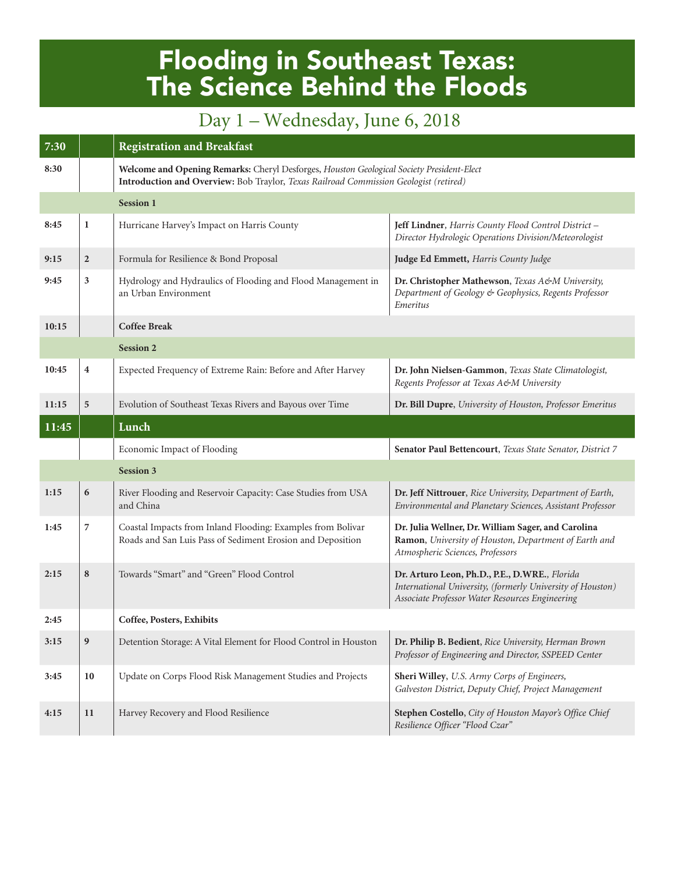## Flooding in Southeast Texas: The Science Behind the Floods

## Day 1 – Wednesday, June 6, 2018

| 7:30  |                  | <b>Registration and Breakfast</b>                                                                                                                                                  |                                                                                                                                                                |  |
|-------|------------------|------------------------------------------------------------------------------------------------------------------------------------------------------------------------------------|----------------------------------------------------------------------------------------------------------------------------------------------------------------|--|
| 8:30  |                  | Welcome and Opening Remarks: Cheryl Desforges, Houston Geological Society President-Elect<br>Introduction and Overview: Bob Traylor, Texas Railroad Commission Geologist (retired) |                                                                                                                                                                |  |
|       |                  | <b>Session 1</b>                                                                                                                                                                   |                                                                                                                                                                |  |
| 8:45  | $\mathbf{1}$     | Hurricane Harvey's Impact on Harris County                                                                                                                                         | Jeff Lindner, Harris County Flood Control District -<br>Director Hydrologic Operations Division/Meteorologist                                                  |  |
| 9:15  | $\boldsymbol{2}$ | Formula for Resilience & Bond Proposal                                                                                                                                             | Judge Ed Emmett, Harris County Judge                                                                                                                           |  |
| 9:45  | 3                | Hydrology and Hydraulics of Flooding and Flood Management in<br>an Urban Environment                                                                                               | Dr. Christopher Mathewson, Texas A&M University,<br>Department of Geology & Geophysics, Regents Professor<br>Emeritus                                          |  |
| 10:15 |                  | <b>Coffee Break</b>                                                                                                                                                                |                                                                                                                                                                |  |
|       |                  | <b>Session 2</b>                                                                                                                                                                   |                                                                                                                                                                |  |
| 10:45 | 4                | Expected Frequency of Extreme Rain: Before and After Harvey                                                                                                                        | Dr. John Nielsen-Gammon, Texas State Climatologist,<br>Regents Professor at Texas A&M University                                                               |  |
| 11:15 | 5                | Evolution of Southeast Texas Rivers and Bayous over Time                                                                                                                           | Dr. Bill Dupre, University of Houston, Professor Emeritus                                                                                                      |  |
| 11:45 |                  | Lunch                                                                                                                                                                              |                                                                                                                                                                |  |
|       |                  |                                                                                                                                                                                    |                                                                                                                                                                |  |
|       |                  | Economic Impact of Flooding                                                                                                                                                        | Senator Paul Bettencourt, Texas State Senator, District 7                                                                                                      |  |
|       |                  | <b>Session 3</b>                                                                                                                                                                   |                                                                                                                                                                |  |
| 1:15  | 6                | River Flooding and Reservoir Capacity: Case Studies from USA<br>and China                                                                                                          | Dr. Jeff Nittrouer, Rice University, Department of Earth,<br>Environmental and Planetary Sciences, Assistant Professor                                         |  |
| 1:45  | 7                | Coastal Impacts from Inland Flooding: Examples from Bolivar<br>Roads and San Luis Pass of Sediment Erosion and Deposition                                                          | Dr. Julia Wellner, Dr. William Sager, and Carolina<br>Ramon, University of Houston, Department of Earth and<br>Atmospheric Sciences, Professors                |  |
| 2:15  | 8                | Towards "Smart" and "Green" Flood Control                                                                                                                                          | Dr. Arturo Leon, Ph.D., P.E., D.WRE., Florida<br>International University, (formerly University of Houston)<br>Associate Professor Water Resources Engineering |  |
| 2:45  |                  | Coffee, Posters, Exhibits                                                                                                                                                          |                                                                                                                                                                |  |
| 3:15  | 9                | Detention Storage: A Vital Element for Flood Control in Houston                                                                                                                    | Dr. Philip B. Bedient, Rice University, Herman Brown<br>Professor of Engineering and Director, SSPEED Center                                                   |  |
| 3:45  | 10               | Update on Corps Flood Risk Management Studies and Projects                                                                                                                         | Sheri Willey, U.S. Army Corps of Engineers,<br>Galveston District, Deputy Chief, Project Management                                                            |  |